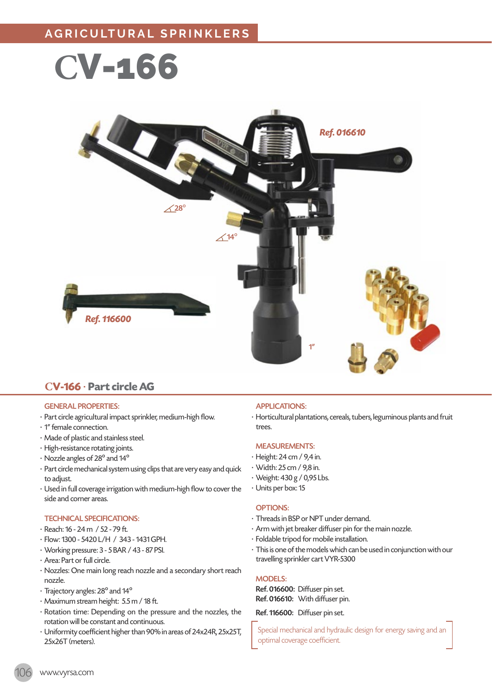



## **CV-166** · **Part circle AG**

## GENERAL PROPERTIES:

- · Part circle agricultural impact sprinkler, medium-high flow.
- · 1" female connection.
- · Made of plastic and stainless steel.
- · High-resistance rotating joints.
- · Nozzle angles of 28º and 14º
- · Part circle mechanical system using clips that are very easy and quick to adjust.
- · Used in full coverage irrigation with medium-high flow to cover the side and corner areas.

#### TECHNICAL SPECIFICATIONS:

- · Reach: 16 24 m / 52 79 ft.
- · Flow: 1300 5420 L/H / 343 1431 GPH.
- · Working pressure: 3 5 BAR / 43 87 PSI.
- · Area: Part or full circle.
- · Nozzles: One main long reach nozzle and a secondary short reach nozzle.
- · Trajectory angles: 28º and 14º
- · Maximum stream height: 5.5 m / 18 ft.
- · Rotation time: Depending on the pressure and the nozzles, the rotation will be constant and continuous.
- · Uniformity coefficient higher than 90% in areas of 24x24R, 25x25T, 25x26T (meters).

## APPLICATIONS:

· Horticultural plantations, cereals, tubers, leguminous plants and fruit trees.

## MEASUREMENTS:

- · Height: 24 cm / 9,4 in.
- · Width: 25 cm / 9,8 in.
- · Weight: 430 g / 0,95 Lbs.
- · Units per box: 15

#### OPTIONS:

- · Threads in BSP or NPT under demand.
- · Arm with jet breaker diffuser pin for the main nozzle.
- · Foldable tripod for mobile installation.
- · This is one of the models which can be used in conjunction with our travelling sprinkler cart VYR-5300

#### MODELS:

Ref. 016600: Diffuser pin set. Ref. 016610: With diffuser pin.

Ref. 116600: Diffuser pin set.

Special mechanical and hydraulic design for energy saving and an optimal coverage coefficient.